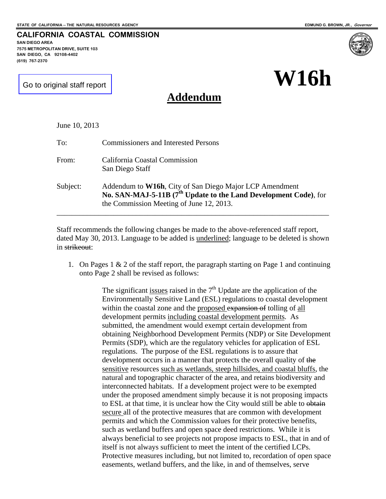**CALIFORNIA COASTAL COMMISSION** 

**W16h**

[Go to original staff report](#page-5-0)

**7575 METROPOLITAN DRIVE, SUITE 103 SAN DIEGO, CA 92108-4402** 

**SAN DIEGO AREA** 

**(619) 767-2370** 

# **Addendum**

| June 10, 2013 |                                                                                                                                                                                     |
|---------------|-------------------------------------------------------------------------------------------------------------------------------------------------------------------------------------|
| To:           | <b>Commissioners and Interested Persons</b>                                                                                                                                         |
| From:         | California Coastal Commission<br>San Diego Staff                                                                                                                                    |
| Subject:      | Addendum to W16h, City of San Diego Major LCP Amendment<br>No. SAN-MAJ-5-11B (7 <sup>th</sup> Update to the Land Development Code), for<br>the Commission Meeting of June 12, 2013. |

Staff recommends the following changes be made to the above-referenced staff report, dated May 30, 2013. Language to be added is underlined; language to be deleted is shown in strikeout:

1. On Pages  $1 \& 2$  of the staff report, the paragraph starting on Page 1 and continuing onto Page 2 shall be revised as follows:

> The significant issues raised in the  $7<sup>th</sup>$  Update are the application of the Environmentally Sensitive Land (ESL) regulations to coastal development within the coastal zone and the proposed expansion of tolling of all development permits including coastal development permits. As submitted, the amendment would exempt certain development from obtaining Neighborhood Development Permits (NDP) or Site Development Permits (SDP), which are the regulatory vehicles for application of ESL regulations. The purpose of the ESL regulations is to assure that development occurs in a manner that protects the overall quality of the sensitive resources such as wetlands, steep hillsides, and coastal bluffs, the natural and topographic character of the area, and retains biodiversity and interconnected habitats. If a development project were to be exempted under the proposed amendment simply because it is not proposing impacts to ESL at that time, it is unclear how the City would still be able to obtain secure all of the protective measures that are common with development permits and which the Commission values for their protective benefits, such as wetland buffers and open space deed restrictions. While it is always beneficial to see projects not propose impacts to ESL, that in and of itself is not always sufficient to meet the intent of the certified LCPs. Protective measures including, but not limited to, recordation of open space easements, wetland buffers, and the like, in and of themselves, serve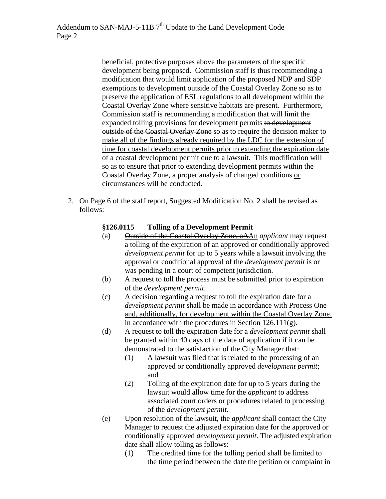beneficial, protective purposes above the parameters of the specific development being proposed. Commission staff is thus recommending a modification that would limit application of the proposed NDP and SDP exemptions to development outside of the Coastal Overlay Zone so as to preserve the application of ESL regulations to all development within the Coastal Overlay Zone where sensitive habitats are present. Furthermore, Commission staff is recommending a modification that will limit the expanded tolling provisions for development permits to development outside of the Coastal Overlay Zone so as to require the decision maker to make all of the findings already required by the LDC for the extension of time for coastal development permits prior to extending the expiration date of a coastal development permit due to a lawsuit. This modification will so as to ensure that prior to extending development permits within the Coastal Overlay Zone, a proper analysis of changed conditions or circumstances will be conducted.

2. On Page 6 of the staff report, Suggested Modification No. 2 shall be revised as follows:

# **§126.0115 Tolling of a Development Permit**

- (a) Outside of the Coastal Overlay Zone, aAAn *applicant* may request a tolling of the expiration of an approved or conditionally approved *development permit* for up to 5 years while a lawsuit involving the approval or conditional approval of the *development permit* is or was pending in a court of competent jurisdiction.
- (b) A request to toll the process must be submitted prior to expiration of the *development permit*.
- (c) A decision regarding a request to toll the expiration date for a *development permit* shall be made in accordance with Process One and, additionally, for development within the Coastal Overlay Zone, in accordance with the procedures in Section 126.111(g).
- (d) A request to toll the expiration date for a *development permit* shall be granted within 40 days of the date of application if it can be demonstrated to the satisfaction of the City Manager that:
	- (1) A lawsuit was filed that is related to the processing of an approved or conditionally approved *development permit*; and
	- (2) Tolling of the expiration date for up to 5 years during the lawsuit would allow time for the *applicant* to address associated court orders or procedures related to processing of the *development permit*.
- (e) Upon resolution of the lawsuit, the *applicant* shall contact the City Manager to request the adjusted expiration date for the approved or conditionally approved *development permit*. The adjusted expiration date shall allow tolling as follows:
	- (1) The credited time for the tolling period shall be limited to the time period between the date the petition or complaint in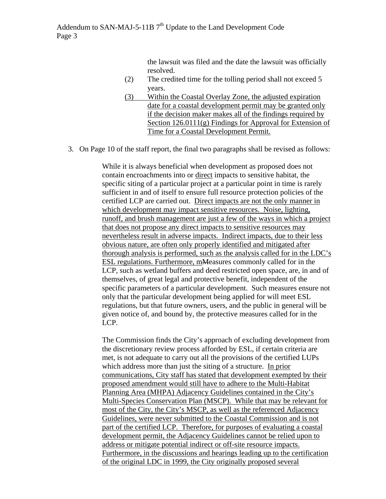the lawsuit was filed and the date the lawsuit was officially resolved.

- (2) The credited time for the tolling period shall not exceed 5 years.
- (3) Within the Coastal Overlay Zone, the adjusted expiration date for a coastal development permit may be granted only if the decision maker makes all of the findings required by Section 126.0111(g) Findings for Approval for Extension of Time for a Coastal Development Permit.
- 3. On Page 10 of the staff report, the final two paragraphs shall be revised as follows:

While it is always beneficial when development as proposed does not contain encroachments into or direct impacts to sensitive habitat, the specific siting of a particular project at a particular point in time is rarely sufficient in and of itself to ensure full resource protection policies of the certified LCP are carried out. Direct impacts are not the only manner in which development may impact sensitive resources. Noise, lighting, runoff, and brush management are just a few of the ways in which a project that does not propose any direct impacts to sensitive resources may nevertheless result in adverse impacts. Indirect impacts, due to their less obvious nature, are often only properly identified and mitigated after thorough analysis is performed, such as the analysis called for in the LDC's ESL regulations. Furthermore, mMeasures commonly called for in the LCP, such as wetland buffers and deed restricted open space, are, in and of themselves, of great legal and protective benefit, independent of the specific parameters of a particular development. Such measures ensure not only that the particular development being applied for will meet ESL regulations, but that future owners, users, and the public in general will be given notice of, and bound by, the protective measures called for in the LCP.

The Commission finds the City's approach of excluding development from the discretionary review process afforded by ESL, if certain criteria are met, is not adequate to carry out all the provisions of the certified LUPs which address more than just the siting of a structure. In prior communications, City staff has stated that development exempted by their proposed amendment would still have to adhere to the Multi-Habitat Planning Area (MHPA) Adjacency Guidelines contained in the City's Multi-Species Conservation Plan (MSCP). While that may be relevant for most of the City, the City's MSCP, as well as the referenced Adjacency Guidelines, were never submitted to the Coastal Commission and is not part of the certified LCP. Therefore, for purposes of evaluating a coastal development permit, the Adjacency Guidelines cannot be relied upon to address or mitigate potential indirect or off-site resource impacts. Furthermore, in the discussions and hearings leading up to the certification of the original LDC in 1999, the City originally proposed several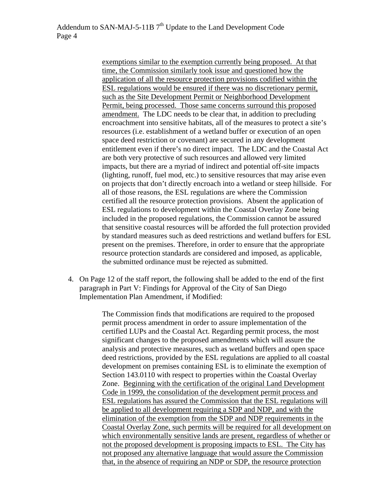exemptions similar to the exemption currently being proposed. At that time, the Commission similarly took issue and questioned how the application of all the resource protection provisions codified within the ESL regulations would be ensured if there was no discretionary permit, such as the Site Development Permit or Neighborhood Development Permit, being processed. Those same concerns surround this proposed amendment. The LDC needs to be clear that, in addition to precluding encroachment into sensitive habitats, all of the measures to protect a site's resources (i.e. establishment of a wetland buffer or execution of an open space deed restriction or covenant) are secured in any development entitlement even if there's no direct impact. The LDC and the Coastal Act are both very protective of such resources and allowed very limited impacts, but there are a myriad of indirect and potential off-site impacts (lighting, runoff, fuel mod, etc.) to sensitive resources that may arise even on projects that don't directly encroach into a wetland or steep hillside. For all of those reasons, the ESL regulations are where the Commission certified all the resource protection provisions. Absent the application of ESL regulations to development within the Coastal Overlay Zone being included in the proposed regulations, the Commission cannot be assured that sensitive coastal resources will be afforded the full protection provided by standard measures such as deed restrictions and wetland buffers for ESL present on the premises. Therefore, in order to ensure that the appropriate resource protection standards are considered and imposed, as applicable, the submitted ordinance must be rejected as submitted.

4. On Page 12 of the staff report, the following shall be added to the end of the first paragraph in Part V: Findings for Approval of the City of San Diego Implementation Plan Amendment, if Modified:

> The Commission finds that modifications are required to the proposed permit process amendment in order to assure implementation of the certified LUPs and the Coastal Act. Regarding permit process, the most significant changes to the proposed amendments which will assure the analysis and protective measures, such as wetland buffers and open space deed restrictions, provided by the ESL regulations are applied to all coastal development on premises containing ESL is to eliminate the exemption of Section 143.0110 with respect to properties within the Coastal Overlay Zone. Beginning with the certification of the original Land Development Code in 1999, the consolidation of the development permit process and ESL regulations has assured the Commission that the ESL regulations will be applied to all development requiring a SDP and NDP, and with the elimination of the exemption from the SDP and NDP requirements in the Coastal Overlay Zone, such permits will be required for all development on which environmentally sensitive lands are present, regardless of whether or not the proposed development is proposing impacts to ESL. The City has not proposed any alternative language that would assure the Commission that, in the absence of requiring an NDP or SDP, the resource protection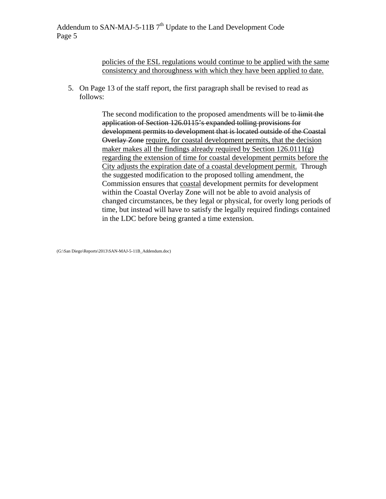policies of the ESL regulations would continue to be applied with the same consistency and thoroughness with which they have been applied to date.

5. On Page 13 of the staff report, the first paragraph shall be revised to read as follows:

> The second modification to the proposed amendments will be to limit the application of Section 126.0115's expanded tolling provisions for development permits to development that is located outside of the Coastal Overlay Zone require, for coastal development permits, that the decision maker makes all the findings already required by Section  $126.0111(g)$ regarding the extension of time for coastal development permits before the City adjusts the expiration date of a coastal development permit. Through the suggested modification to the proposed tolling amendment, the Commission ensures that coastal development permits for development within the Coastal Overlay Zone will not be able to avoid analysis of changed circumstances, be they legal or physical, for overly long periods of time, but instead will have to satisfy the legally required findings contained in the LDC before being granted a time extension.

(G:\San Diego\Reports\2013\SAN-MAJ-5-11B\_Addendum.doc)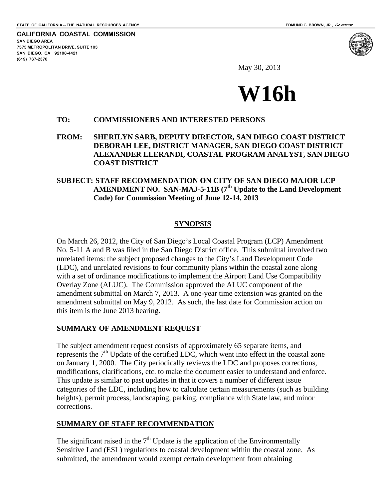<span id="page-5-0"></span>**CALIFORNIA COASTAL COMMISSION SAN DIEGO AREA 7575 METROPOLITAN DRIVE, SUITE 103 SAN DIEGO, CA 92108-4421 (619) 767-2370**

 $\overline{a}$ 



May 30, 2013



#### **TO: COMMISSIONERS AND INTERESTED PERSONS**

**FROM: SHERILYN SARB, DEPUTY DIRECTOR, SAN DIEGO COAST DISTRICT DEBORAH LEE, DISTRICT MANAGER, SAN DIEGO COAST DISTRICT ALEXANDER LLERANDI, COASTAL PROGRAM ANALYST, SAN DIEGO COAST DISTRICT** 

# **SUBJECT: STAFF RECOMMENDATION ON CITY OF SAN DIEGO MAJOR LCP AMENDMENT NO. SAN-MAJ-5-11B (7th Update to the Land Development Code) for Commission Meeting of June 12-14, 2013**

#### **SYNOPSIS**

On March 26, 2012, the City of San Diego's Local Coastal Program (LCP) Amendment No. 5-11 A and B was filed in the San Diego District office. This submittal involved two unrelated items: the subject proposed changes to the City's Land Development Code (LDC), and unrelated revisions to four community plans within the coastal zone along with a set of ordinance modifications to implement the Airport Land Use Compatibility Overlay Zone (ALUC). The Commission approved the ALUC component of the amendment submittal on March 7, 2013. A one-year time extension was granted on the amendment submittal on May 9, 2012. As such, the last date for Commission action on this item is the June 2013 hearing.

#### **SUMMARY OF AMENDMENT REQUEST**

The subject amendment request consists of approximately 65 separate items, and represents the  $7<sup>th</sup>$  Update of the certified LDC, which went into effect in the coastal zone on January 1, 2000. The City periodically reviews the LDC and proposes corrections, modifications, clarifications, etc. to make the document easier to understand and enforce. This update is similar to past updates in that it covers a number of different issue categories of the LDC, including how to calculate certain measurements (such as building heights), permit process, landscaping, parking, compliance with State law, and minor corrections.

#### **SUMMARY OF STAFF RECOMMENDATION**

The significant raised in the  $7<sup>th</sup>$  Update is the application of the Environmentally Sensitive Land (ESL) regulations to coastal development within the coastal zone. As submitted, the amendment would exempt certain development from obtaining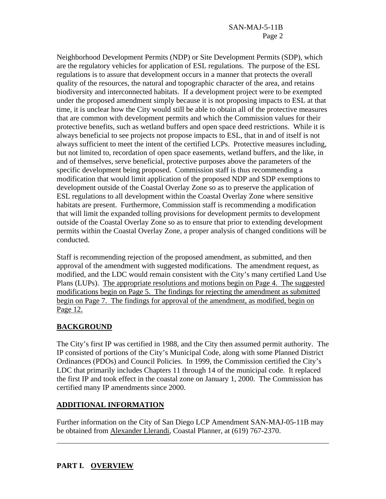Neighborhood Development Permits (NDP) or Site Development Permits (SDP), which are the regulatory vehicles for application of ESL regulations. The purpose of the ESL regulations is to assure that development occurs in a manner that protects the overall quality of the resources, the natural and topographic character of the area, and retains biodiversity and interconnected habitats. If a development project were to be exempted under the proposed amendment simply because it is not proposing impacts to ESL at that time, it is unclear how the City would still be able to obtain all of the protective measures that are common with development permits and which the Commission values for their protective benefits, such as wetland buffers and open space deed restrictions. While it is always beneficial to see projects not propose impacts to ESL, that in and of itself is not always sufficient to meet the intent of the certified LCPs. Protective measures including, but not limited to, recordation of open space easements, wetland buffers, and the like, in and of themselves, serve beneficial, protective purposes above the parameters of the specific development being proposed. Commission staff is thus recommending a modification that would limit application of the proposed NDP and SDP exemptions to development outside of the Coastal Overlay Zone so as to preserve the application of ESL regulations to all development within the Coastal Overlay Zone where sensitive habitats are present. Furthermore, Commission staff is recommending a modification that will limit the expanded tolling provisions for development permits to development outside of the Coastal Overlay Zone so as to ensure that prior to extending development permits within the Coastal Overlay Zone, a proper analysis of changed conditions will be conducted.

Staff is recommending rejection of the proposed amendment, as submitted, and then approval of the amendment with suggested modifications. The amendment request, as modified, and the LDC would remain consistent with the City's many certified Land Use Plans (LUPs). The appropriate resolutions and motions begin on Page 4. The suggested modifications begin on Page 5. The findings for rejecting the amendment as submitted begin on Page 7. The findings for approval of the amendment, as modified, begin on Page 12.

# **BACKGROUND**

The City's first IP was certified in 1988, and the City then assumed permit authority. The IP consisted of portions of the City's Municipal Code, along with some Planned District Ordinances (PDOs) and Council Policies. In 1999, the Commission certified the City's LDC that primarily includes Chapters 11 through 14 of the municipal code. It replaced the first IP and took effect in the coastal zone on January 1, 2000. The Commission has certified many IP amendments since 2000.

# **ADDITIONAL INFORMATION**

Further information on the City of San Diego LCP Amendment SAN-MAJ-05-11B may be obtained from Alexander Llerandi, Coastal Planner, at (619) 767-2370.

# **PART I. OVERVIEW**

 $\overline{a}$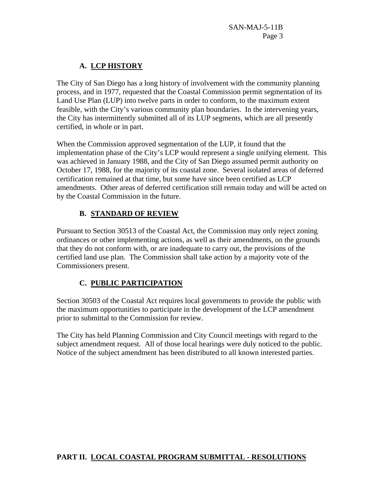# **A. LCP HISTORY**

The City of San Diego has a long history of involvement with the community planning process, and in 1977, requested that the Coastal Commission permit segmentation of its Land Use Plan (LUP) into twelve parts in order to conform, to the maximum extent feasible, with the City's various community plan boundaries. In the intervening years, the City has intermittently submitted all of its LUP segments, which are all presently certified, in whole or in part.

When the Commission approved segmentation of the LUP, it found that the implementation phase of the City's LCP would represent a single unifying element. This was achieved in January 1988, and the City of San Diego assumed permit authority on October 17, 1988, for the majority of its coastal zone. Several isolated areas of deferred certification remained at that time, but some have since been certified as LCP amendments. Other areas of deferred certification still remain today and will be acted on by the Coastal Commission in the future.

# **B. STANDARD OF REVIEW**

Pursuant to Section 30513 of the Coastal Act, the Commission may only reject zoning ordinances or other implementing actions, as well as their amendments, on the grounds that they do not conform with, or are inadequate to carry out, the provisions of the certified land use plan. The Commission shall take action by a majority vote of the Commissioners present.

# **C. PUBLIC PARTICIPATION**

Section 30503 of the Coastal Act requires local governments to provide the public with the maximum opportunities to participate in the development of the LCP amendment prior to submittal to the Commission for review.

The City has held Planning Commission and City Council meetings with regard to the subject amendment request. All of those local hearings were duly noticed to the public. Notice of the subject amendment has been distributed to all known interested parties.

# **PART II. LOCAL COASTAL PROGRAM SUBMITTAL - RESOLUTIONS**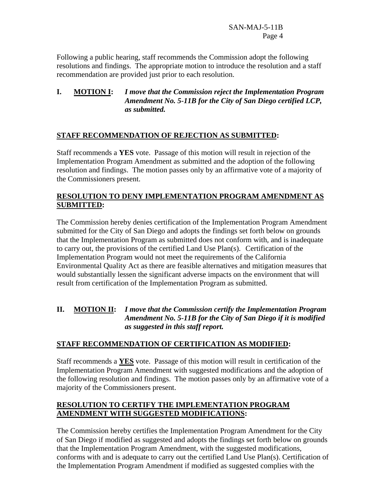SAN-MAJ-5-11B Page 4

Following a public hearing, staff recommends the Commission adopt the following resolutions and findings. The appropriate motion to introduce the resolution and a staff recommendation are provided just prior to each resolution.

# **I. MOTION I:** *I move that the Commission reject the Implementation Program Amendment No. 5-11B for the City of San Diego certified LCP, as submitted.*

# **STAFF RECOMMENDATION OF REJECTION AS SUBMITTED:**

Staff recommends a **YES** vote. Passage of this motion will result in rejection of the Implementation Program Amendment as submitted and the adoption of the following resolution and findings. The motion passes only by an affirmative vote of a majority of the Commissioners present.

# **RESOLUTION TO DENY IMPLEMENTATION PROGRAM AMENDMENT AS SUBMITTED:**

The Commission hereby denies certification of the Implementation Program Amendment submitted for the City of San Diego and adopts the findings set forth below on grounds that the Implementation Program as submitted does not conform with, and is inadequate to carry out, the provisions of the certified Land Use Plan(s). Certification of the Implementation Program would not meet the requirements of the California Environmental Quality Act as there are feasible alternatives and mitigation measures that would substantially lessen the significant adverse impacts on the environment that will result from certification of the Implementation Program as submitted.

# **II. MOTION II:** *I move that the Commission certify the Implementation Program Amendment No. 5-11B for the City of San Diego if it is modified as suggested in this staff report.*

# **STAFF RECOMMENDATION OF CERTIFICATION AS MODIFIED:**

Staff recommends a **YES** vote. Passage of this motion will result in certification of the Implementation Program Amendment with suggested modifications and the adoption of the following resolution and findings. The motion passes only by an affirmative vote of a majority of the Commissioners present.

# **RESOLUTION TO CERTIFY THE IMPLEMENTATION PROGRAM AMENDMENT WITH SUGGESTED MODIFICATIONS:**

The Commission hereby certifies the Implementation Program Amendment for the City of San Diego if modified as suggested and adopts the findings set forth below on grounds that the Implementation Program Amendment, with the suggested modifications, conforms with and is adequate to carry out the certified Land Use Plan(s). Certification of the Implementation Program Amendment if modified as suggested complies with the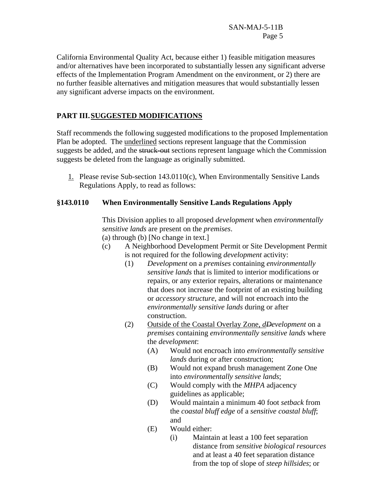California Environmental Quality Act, because either 1) feasible mitigation measures and/or alternatives have been incorporated to substantially lessen any significant adverse effects of the Implementation Program Amendment on the environment, or 2) there are no further feasible alternatives and mitigation measures that would substantially lessen any significant adverse impacts on the environment.

# **PART III. SUGGESTED MODIFICATIONS**

Staff recommends the following suggested modifications to the proposed Implementation Plan be adopted. The underlined sections represent language that the Commission suggests be added, and the struck-out sections represent language which the Commission suggests be deleted from the language as originally submitted.

1. Please revise Sub-section 143.0110(c), When Environmentally Sensitive Lands Regulations Apply, to read as follows:

# **§143.0110 When Environmentally Sensitive Lands Regulations Apply**

This Division applies to all proposed *development* when *environmentally sensitive lands* are present on the *premises*.

(a) through (b) [No change in text.]

- (c) A Neighborhood Development Permit or Site Development Permit is not required for the following *development* activity:
	- (1) *Development* on a *premises* containing *environmentally sensitive lands* that is limited to interior modifications or repairs, or any exterior repairs, alterations or maintenance that does not increase the footprint of an existing building or *accessory structure*, and will not encroach into the *environmentally sensitive lands* during or after construction.
	- (2) Outside of the Coastal Overlay Zone, *dDevelopment* on a *premises* containing *environmentally sensitive lands* where the *development*:
		- (A) Would not encroach into *environmentally sensitive lands* during or after construction;
		- (B) Would not expand brush management Zone One into *environmentally sensitive lands*;
		- (C) Would comply with the *MHPA* adjacency guidelines as applicable;
		- (D) Would maintain a minimum 40 foot *setback* from the *coastal bluff edge* of a *sensitive coastal bluff*; and
		- (E) Would either:
			- (i) Maintain at least a 100 feet separation distance from *sensitive biological resources*  and at least a 40 feet separation distance from the top of slope of *steep hillsides*; or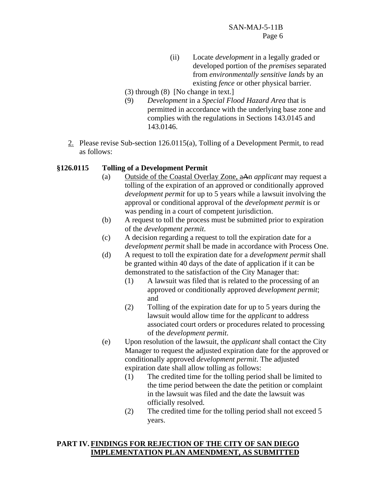- (ii) Locate *development* in a legally graded or developed portion of the *premises* separated from *environmentally sensitive lands* by an existing *fence* or other physical barrier.
- (3) through (8) [No change in text.]
- (9) *Development* in a *Special Flood Hazard Area* that is permitted in accordance with the underlying base zone and complies with the regulations in Sections 143.0145 and 143.0146.
- 2. Please revise Sub-section 126.0115(a), Tolling of a Development Permit, to read as follows:

# **§126.0115 Tolling of a Development Permit**

- (a) Outside of the Coastal Overlay Zone, aAn *applicant* may request a tolling of the expiration of an approved or conditionally approved *development permit* for up to 5 years while a lawsuit involving the approval or conditional approval of the *development permit* is or was pending in a court of competent jurisdiction.
- (b) A request to toll the process must be submitted prior to expiration of the *development permit*.
- (c) A decision regarding a request to toll the expiration date for a *development permit* shall be made in accordance with Process One.
- (d) A request to toll the expiration date for a *development permit* shall be granted within 40 days of the date of application if it can be demonstrated to the satisfaction of the City Manager that:
	- (1) A lawsuit was filed that is related to the processing of an approved or conditionally approved *development permit*; and
	- (2) Tolling of the expiration date for up to 5 years during the lawsuit would allow time for the *applicant* to address associated court orders or procedures related to processing of the *development permit*.
- (e) Upon resolution of the lawsuit, the *applicant* shall contact the City Manager to request the adjusted expiration date for the approved or conditionally approved *development permit*. The adjusted expiration date shall allow tolling as follows:
	- (1) The credited time for the tolling period shall be limited to the time period between the date the petition or complaint in the lawsuit was filed and the date the lawsuit was officially resolved.
	- (2) The credited time for the tolling period shall not exceed 5 years.

#### **PART IV. FINDINGS FOR REJECTION OF THE CITY OF SAN DIEGO IMPLEMENTATION PLAN AMENDMENT, AS SUBMITTED**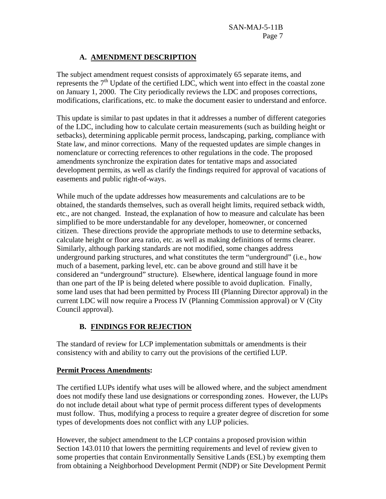# **A. AMENDMENT DESCRIPTION**

The subject amendment request consists of approximately 65 separate items, and represents the  $7<sup>th</sup>$  Update of the certified LDC, which went into effect in the coastal zone on January 1, 2000. The City periodically reviews the LDC and proposes corrections, modifications, clarifications, etc. to make the document easier to understand and enforce.

This update is similar to past updates in that it addresses a number of different categories of the LDC, including how to calculate certain measurements (such as building height or setbacks), determining applicable permit process, landscaping, parking, compliance with State law, and minor corrections. Many of the requested updates are simple changes in nomenclature or correcting references to other regulations in the code. The proposed amendments synchronize the expiration dates for tentative maps and associated development permits, as well as clarify the findings required for approval of vacations of easements and public right-of-ways.

While much of the update addresses how measurements and calculations are to be obtained, the standards themselves, such as overall height limits, required setback width, etc., are not changed. Instead, the explanation of how to measure and calculate has been simplified to be more understandable for any developer, homeowner, or concerned citizen. These directions provide the appropriate methods to use to determine setbacks, calculate height or floor area ratio, etc. as well as making definitions of terms clearer. Similarly, although parking standards are not modified, some changes address underground parking structures, and what constitutes the term "underground" (i.e., how much of a basement, parking level, etc. can be above ground and still have it be considered an "underground" structure). Elsewhere, identical language found in more than one part of the IP is being deleted where possible to avoid duplication. Finally, some land uses that had been permitted by Process III (Planning Director approval) in the current LDC will now require a Process IV (Planning Commission approval) or V (City Council approval).

# **B. FINDINGS FOR REJECTION**

The standard of review for LCP implementation submittals or amendments is their consistency with and ability to carry out the provisions of the certified LUP.

# **Permit Process Amendments:**

The certified LUPs identify what uses will be allowed where, and the subject amendment does not modify these land use designations or corresponding zones. However, the LUPs do not include detail about what type of permit process different types of developments must follow. Thus, modifying a process to require a greater degree of discretion for some types of developments does not conflict with any LUP policies.

However, the subject amendment to the LCP contains a proposed provision within Section 143.0110 that lowers the permitting requirements and level of review given to some properties that contain Environmentally Sensitive Lands (ESL) by exempting them from obtaining a Neighborhood Development Permit (NDP) or Site Development Permit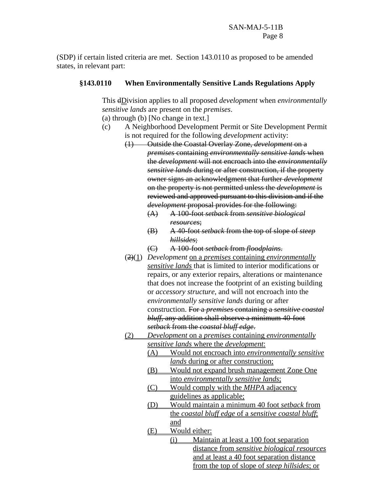(SDP) if certain listed criteria are met. Section 143.0110 as proposed to be amended states, in relevant part:

#### **§143.0110 When Environmentally Sensitive Lands Regulations Apply**

This dDivision applies to all proposed *development* when *environmentally sensitive lands* are present on the *premises*.

(a) through (b) [No change in text.]

- (c) A Neighborhood Development Permit or Site Development Permit is not required for the following *development* activity:
	- (1) Outside the Coastal Overlay Zone, *development* on a *premises* containing *environmentally sensitive lands* when the *development* will not encroach into the *environmentally sensitive lands* during or after construction, if the property owner signs an acknowledgment that further *development*  on the property is not permitted unless the *development* is reviewed and approved pursuant to this division and if the *development* proposal provides for the following:
		- (A) A 100-foot *setback* from *sensitive biological resources*;
		- (B) A 40-foot *setback* from the top of slope of *steep hillsides*;
		- (C) A 100-foot *setback* from *floodplains*.
	- (2)(1) *Development* on a *premises* containing *environmentally sensitive lands* that is limited to interior modifications or repairs, or any exterior repairs, alterations or maintenance that does not increase the footprint of an existing building or *accessory structure*, and will not encroach into the *environmentally sensitive lands* during or after construction. For a *premises* containing a *sensitive coastal bluff,* any addition shall observe a minimum 40-foot *setback* from the *coastal bluff edge*.
	- (2) *Development* on a *premises* containing *environmentally sensitive lands* where the *development*:
		- (A) Would not encroach into *environmentally sensitive lands* during or after construction;
		- (B) Would not expand brush management Zone One into *environmentally sensitive lands*;
		- (C) Would comply with the *MHPA* adjacency guidelines as applicable;
		- (D) Would maintain a minimum 40 foot *setback* from the *coastal bluff edge* of a *sensitive coastal bluff*; and
		- (E) Would either:
			- (i) Maintain at least a 100 foot separation distance from *sensitive biological resources*  and at least a 40 foot separation distance from the top of slope of *steep hillsides*; or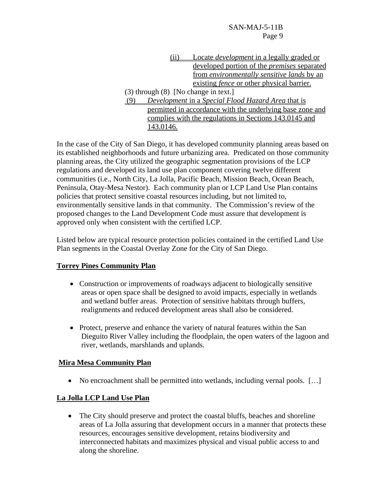SAN-MAJ-5-11B Page 9

| 11                                   | Locate <i>development</i> in a legally graded or          |
|--------------------------------------|-----------------------------------------------------------|
|                                      | developed portion of the <i>premises</i> separated        |
|                                      | from environmentally sensitive lands by an                |
|                                      | existing <i>fence</i> or other physical barrier.          |
| (3) through (8) [No change in text.] |                                                           |
|                                      | Development in a Special Flood Hazard Area that is        |
|                                      | permitted in accordance with the underlying base zone and |
|                                      | complies with the regulations in Sections 143.0145 and    |
| 143.0146.                            |                                                           |

In the case of the City of San Diego, it has developed community planning areas based on its established neighborhoods and future urbanizing area. Predicated on those community planning areas, the City utilized the geographic segmentation provisions of the LCP regulations and developed its land use plan component covering twelve different communities (i.e., North City, La Jolla, Pacific Beach, Mission Beach, Ocean Beach, Peninsula, Otay-Mesa Nestor). Each community plan or LCP Land Use Plan contains policies that protect sensitive coastal resources including, but not limited to, environmentally sensitive lands in that community. The Commission's review of the proposed changes to the Land Development Code must assure that development is approved only when consistent with the certified LCP.

Listed below are typical resource protection policies contained in the certified Land Use Plan segments in the Coastal Overlay Zone for the City of San Diego.

#### **Torrey Pines Community Plan**

- Construction or improvements of roadways adjacent to biologically sensitive areas or open space shall be designed to avoid impacts, especially in wetlands and wetland buffer areas. Protection of sensitive habitats through buffers, realignments and reduced development areas shall also be considered.
- Protect, preserve and enhance the variety of natural features within the San Dieguito River Valley including the floodplain, the open waters of the lagoon and river, wetlands, marshlands and uplands.

# **Mira Mesa Community Plan**

• No encroachment shall be permitted into wetlands, including vernal pools. [...]

# **La Jolla LCP Land Use Plan**

 The City should preserve and protect the coastal bluffs, beaches and shoreline areas of La Jolla assuring that development occurs in a manner that protects these resources, encourages sensitive development, retains biodiversity and interconnected habitats and maximizes physical and visual public access to and along the shoreline.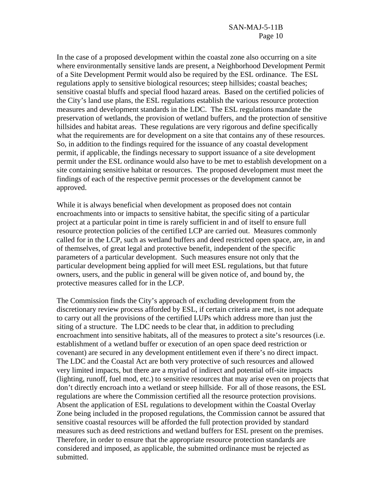In the case of a proposed development within the coastal zone also occurring on a site where environmentally sensitive lands are present, a Neighborhood Development Permit of a Site Development Permit would also be required by the ESL ordinance. The ESL regulations apply to sensitive biological resources; steep hillsides; coastal beaches; sensitive coastal bluffs and special flood hazard areas. Based on the certified policies of the City's land use plans, the ESL regulations establish the various resource protection measures and development standards in the LDC. The ESL regulations mandate the preservation of wetlands, the provision of wetland buffers, and the protection of sensitive hillsides and habitat areas. These regulations are very rigorous and define specifically what the requirements are for development on a site that contains any of these resources. So, in addition to the findings required for the issuance of any coastal development permit, if applicable, the findings necessary to support issuance of a site development permit under the ESL ordinance would also have to be met to establish development on a site containing sensitive habitat or resources. The proposed development must meet the findings of each of the respective permit processes or the development cannot be approved.

While it is always beneficial when development as proposed does not contain encroachments into or impacts to sensitive habitat, the specific siting of a particular project at a particular point in time is rarely sufficient in and of itself to ensure full resource protection policies of the certified LCP are carried out. Measures commonly called for in the LCP, such as wetland buffers and deed restricted open space, are, in and of themselves, of great legal and protective benefit, independent of the specific parameters of a particular development. Such measures ensure not only that the particular development being applied for will meet ESL regulations, but that future owners, users, and the public in general will be given notice of, and bound by, the protective measures called for in the LCP.

The Commission finds the City's approach of excluding development from the discretionary review process afforded by ESL, if certain criteria are met, is not adequate to carry out all the provisions of the certified LUPs which address more than just the siting of a structure. The LDC needs to be clear that, in addition to precluding encroachment into sensitive habitats, all of the measures to protect a site's resources (i.e. establishment of a wetland buffer or execution of an open space deed restriction or covenant) are secured in any development entitlement even if there's no direct impact. The LDC and the Coastal Act are both very protective of such resources and allowed very limited impacts, but there are a myriad of indirect and potential off-site impacts (lighting, runoff, fuel mod, etc.) to sensitive resources that may arise even on projects that don't directly encroach into a wetland or steep hillside. For all of those reasons, the ESL regulations are where the Commission certified all the resource protection provisions. Absent the application of ESL regulations to development within the Coastal Overlay Zone being included in the proposed regulations, the Commission cannot be assured that sensitive coastal resources will be afforded the full protection provided by standard measures such as deed restrictions and wetland buffers for ESL present on the premises. Therefore, in order to ensure that the appropriate resource protection standards are considered and imposed, as applicable, the submitted ordinance must be rejected as submitted.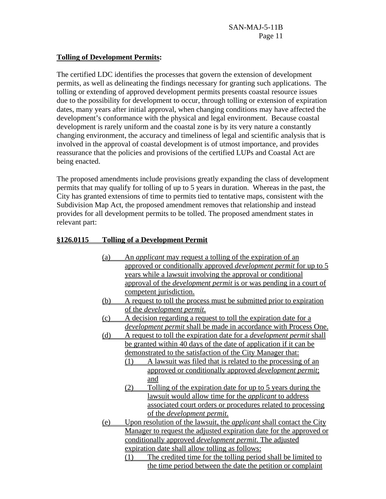# **Tolling of Development Permits:**

The certified LDC identifies the processes that govern the extension of development permits, as well as delineating the findings necessary for granting such applications. The tolling or extending of approved development permits presents coastal resource issues due to the possibility for development to occur, through tolling or extension of expiration dates, many years after initial approval, when changing conditions may have affected the development's conformance with the physical and legal environment. Because coastal development is rarely uniform and the coastal zone is by its very nature a constantly changing environment, the accuracy and timeliness of legal and scientific analysis that is involved in the approval of coastal development is of utmost importance, and provides reassurance that the policies and provisions of the certified LUPs and Coastal Act are being enacted.

The proposed amendments include provisions greatly expanding the class of development permits that may qualify for tolling of up to 5 years in duration. Whereas in the past, the City has granted extensions of time to permits tied to tentative maps, consistent with the Subdivision Map Act, the proposed amendment removes that relationship and instead provides for all development permits to be tolled. The proposed amendment states in relevant part:

# **§126.0115 Tolling of a Development Permit**

- (a) An *applicant* may request a tolling of the expiration of an approved or conditionally approved *development permit* for up to 5 years while a lawsuit involving the approval or conditional approval of the *development permit* is or was pending in a court of competent jurisdiction.
- (b) A request to toll the process must be submitted prior to expiration of the *development permit*.
- (c) A decision regarding a request to toll the expiration date for a *development permit* shall be made in accordance with Process One.
- (d) A request to toll the expiration date for a *development permit* shall be granted within 40 days of the date of application if it can be demonstrated to the satisfaction of the City Manager that:
	- (1) A lawsuit was filed that is related to the processing of an approved or conditionally approved *development permit*; and
	- (2) Tolling of the expiration date for up to 5 years during the lawsuit would allow time for the *applicant* to address associated court orders or procedures related to processing of the *development permit*.
- (e) Upon resolution of the lawsuit, the *applicant* shall contact the City Manager to request the adjusted expiration date for the approved or conditionally approved *development permit*. The adjusted expiration date shall allow tolling as follows:
	- (1) The credited time for the tolling period shall be limited to the time period between the date the petition or complaint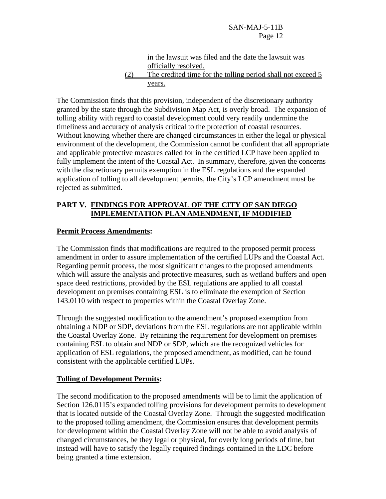SAN-MAJ-5-11B Page 12

# in the lawsuit was filed and the date the lawsuit was officially resolved. (2) The credited time for the tolling period shall not exceed 5 years.

The Commission finds that this provision, independent of the discretionary authority granted by the state through the Subdivision Map Act, is overly broad. The expansion of tolling ability with regard to coastal development could very readily undermine the timeliness and accuracy of analysis critical to the protection of coastal resources. Without knowing whether there are changed circumstances in either the legal or physical environment of the development, the Commission cannot be confident that all appropriate and applicable protective measures called for in the certified LCP have been applied to fully implement the intent of the Coastal Act. In summary, therefore, given the concerns with the discretionary permits exemption in the ESL regulations and the expanded application of tolling to all development permits, the City's LCP amendment must be rejected as submitted.

# **PART V. FINDINGS FOR APPROVAL OF THE CITY OF SAN DIEGO IMPLEMENTATION PLAN AMENDMENT, IF MODIFIED**

# **Permit Process Amendments:**

The Commission finds that modifications are required to the proposed permit process amendment in order to assure implementation of the certified LUPs and the Coastal Act. Regarding permit process, the most significant changes to the proposed amendments which will assure the analysis and protective measures, such as wetland buffers and open space deed restrictions, provided by the ESL regulations are applied to all coastal development on premises containing ESL is to eliminate the exemption of Section 143.0110 with respect to properties within the Coastal Overlay Zone.

Through the suggested modification to the amendment's proposed exemption from obtaining a NDP or SDP, deviations from the ESL regulations are not applicable within the Coastal Overlay Zone. By retaining the requirement for development on premises containing ESL to obtain and NDP or SDP, which are the recognized vehicles for application of ESL regulations, the proposed amendment, as modified, can be found consistent with the applicable certified LUPs.

# **Tolling of Development Permits:**

The second modification to the proposed amendments will be to limit the application of Section 126.0115's expanded tolling provisions for development permits to development that is located outside of the Coastal Overlay Zone. Through the suggested modification to the proposed tolling amendment, the Commission ensures that development permits for development within the Coastal Overlay Zone will not be able to avoid analysis of changed circumstances, be they legal or physical, for overly long periods of time, but instead will have to satisfy the legally required findings contained in the LDC before being granted a time extension.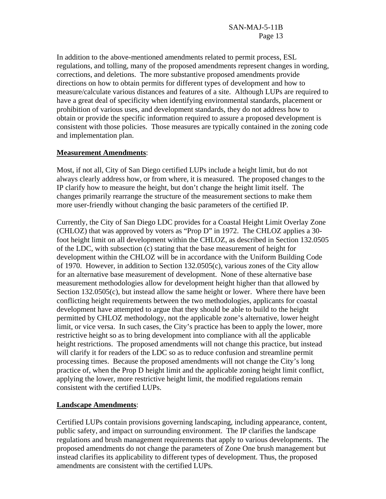In addition to the above-mentioned amendments related to permit process, ESL regulations, and tolling, many of the proposed amendments represent changes in wording, corrections, and deletions. The more substantive proposed amendments provide directions on how to obtain permits for different types of development and how to measure/calculate various distances and features of a site. Although LUPs are required to have a great deal of specificity when identifying environmental standards, placement or prohibition of various uses, and development standards, they do not address how to obtain or provide the specific information required to assure a proposed development is consistent with those policies. Those measures are typically contained in the zoning code and implementation plan.

# **Measurement Amendments**:

Most, if not all, City of San Diego certified LUPs include a height limit, but do not always clearly address how, or from where, it is measured. The proposed changes to the IP clarify how to measure the height, but don't change the height limit itself. The changes primarily rearrange the structure of the measurement sections to make them more user-friendly without changing the basic parameters of the certified IP.

Currently, the City of San Diego LDC provides for a Coastal Height Limit Overlay Zone (CHLOZ) that was approved by voters as "Prop D" in 1972. The CHLOZ applies a 30 foot height limit on all development within the CHLOZ, as described in Section 132.0505 of the LDC, with subsection (c) stating that the base measurement of height for development within the CHLOZ will be in accordance with the Uniform Building Code of 1970. However, in addition to Section 132.0505(c), various zones of the City allow for an alternative base measurement of development. None of these alternative base measurement methodologies allow for development height higher than that allowed by Section 132.0505(c), but instead allow the same height or lower. Where there have been conflicting height requirements between the two methodologies, applicants for coastal development have attempted to argue that they should be able to build to the height permitted by CHLOZ methodology, not the applicable zone's alternative, lower height limit, or vice versa. In such cases, the City's practice has been to apply the lower, more restrictive height so as to bring development into compliance with all the applicable height restrictions. The proposed amendments will not change this practice, but instead will clarify it for readers of the LDC so as to reduce confusion and streamline permit processing times. Because the proposed amendments will not change the City's long practice of, when the Prop D height limit and the applicable zoning height limit conflict, applying the lower, more restrictive height limit, the modified regulations remain consistent with the certified LUPs.

# **Landscape Amendments**:

Certified LUPs contain provisions governing landscaping, including appearance, content, public safety, and impact on surrounding environment. The IP clarifies the landscape regulations and brush management requirements that apply to various developments. The proposed amendments do not change the parameters of Zone One brush management but instead clarifies its applicability to different types of development. Thus, the proposed amendments are consistent with the certified LUPs.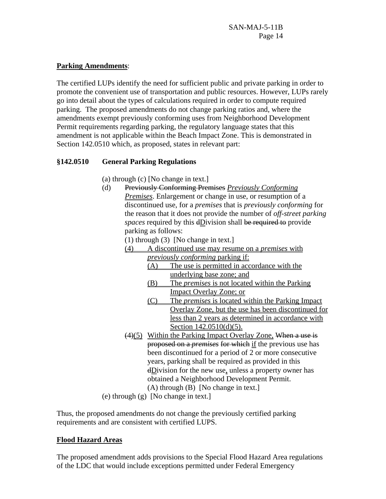## **Parking Amendments**:

The certified LUPs identify the need for sufficient public and private parking in order to promote the convenient use of transportation and public resources. However, LUPs rarely go into detail about the types of calculations required in order to compute required parking. The proposed amendments do not change parking ratios and, where the amendments exempt previously conforming uses from Neighborhood Development Permit requirements regarding parking, the regulatory language states that this amendment is not applicable within the Beach Impact Zone. This is demonstrated in Section 142.0510 which, as proposed, states in relevant part:

# **§142.0510 General Parking Regulations**

- (a) through (c) [No change in text.]
- (d) Previously Conforming Premises *Previously Conforming Premises*. Enlargement or change in use, or resumption of a discontinued use, for a *premises* that is *previously conforming* for the reason that it does not provide the number of *off-street parking spaces* required by this dDivision shall be required to provide parking as follows:

(1) through (3) [No change in text.]

- (4) A discontinued use may resume on a *premises* with *previously conforming* parking if:
	- (A) The use is permitted in accordance with the underlying base zone; and
	- (B) The *premises* is not located within the Parking Impact Overlay Zone; or
	- (C) The *premises* is located within the Parking Impact Overlay Zone, but the use has been discontinued for less than 2 years as determined in accordance with Section 142.0510(d)(5).
- $(4)(5)$  Within the Parking Impact Overlay Zone, When a use is proposed on a *premises* for which if the previous use has been discontinued for a period of 2 or more consecutive years, parking shall be required as provided in this  $dDivision$  for the new use, unless a property owner has obtained a Neighborhood Development Permit. (A) through (B) [No change in text.]

(e) through (g) [No change in text.]

Thus, the proposed amendments do not change the previously certified parking requirements and are consistent with certified LUPS.

# **Flood Hazard Areas**

The proposed amendment adds provisions to the Special Flood Hazard Area regulations of the LDC that would include exceptions permitted under Federal Emergency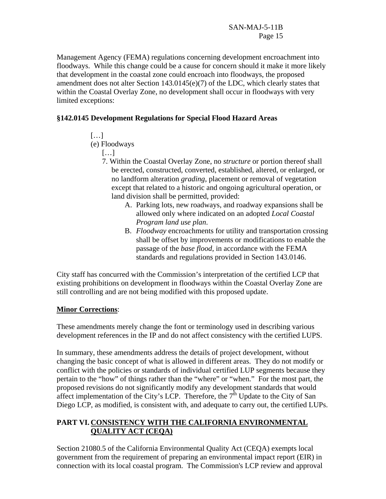Management Agency (FEMA) regulations concerning development encroachment into floodways. While this change could be a cause for concern should it make it more likely that development in the coastal zone could encroach into floodways, the proposed amendment does not alter Section 143.0145(e)(7) of the LDC, which clearly states that within the Coastal Overlay Zone, no development shall occur in floodways with very limited exceptions:

# **§142.0145 Development Regulations for Special Flood Hazard Areas**

 $[\dots]$ 

(e) Floodways

[…]

- 7. Within the Coastal Overlay Zone, no *structure* or portion thereof shall be erected, constructed, converted, established, altered, or enlarged, or no landform alteration *grading*, placement or removal of vegetation except that related to a historic and ongoing agricultural operation, or land division shall be permitted, provided:
	- A. Parking lots, new roadways, and roadway expansions shall be allowed only where indicated on an adopted *Local Coastal Program land use plan*.
	- B. *Floodway* encroachments for utility and transportation crossing shall be offset by improvements or modifications to enable the passage of the *base flood*, in accordance with the FEMA standards and regulations provided in Section 143.0146.

City staff has concurred with the Commission's interpretation of the certified LCP that existing prohibitions on development in floodways within the Coastal Overlay Zone are still controlling and are not being modified with this proposed update.

# **Minor Corrections**:

These amendments merely change the font or terminology used in describing various development references in the IP and do not affect consistency with the certified LUPS.

In summary, these amendments address the details of project development, without changing the basic concept of what is allowed in different areas. They do not modify or conflict with the policies or standards of individual certified LUP segments because they pertain to the "how" of things rather than the "where" or "when." For the most part, the proposed revisions do not significantly modify any development standards that would affect implementation of the City's LCP. Therefore, the  $7<sup>th</sup>$  Update to the City of San Diego LCP, as modified, is consistent with, and adequate to carry out, the certified LUPs.

# **PART VI. CONSISTENCY WITH THE CALIFORNIA ENVIRONMENTAL QUALITY ACT (CEQA)**

Section 21080.5 of the California Environmental Quality Act (CEQA) exempts local government from the requirement of preparing an environmental impact report (EIR) in connection with its local coastal program. The Commission's LCP review and approval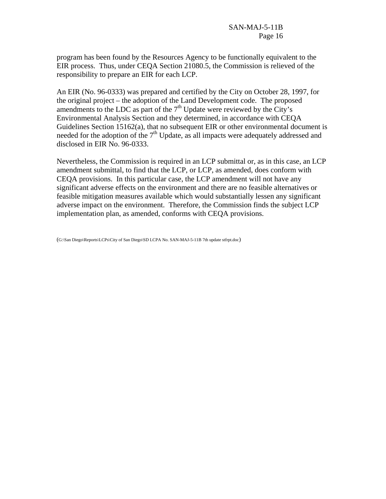program has been found by the Resources Agency to be functionally equivalent to the EIR process. Thus, under CEQA Section 21080.5, the Commission is relieved of the responsibility to prepare an EIR for each LCP.

An EIR (No. 96-0333) was prepared and certified by the City on October 28, 1997, for the original project – the adoption of the Land Development code. The proposed amendments to the LDC as part of the  $7<sup>th</sup>$  Update were reviewed by the City's Environmental Analysis Section and they determined, in accordance with CEQA Guidelines Section 15162(a), that no subsequent EIR or other environmental document is needed for the adoption of the  $7<sup>th</sup>$  Update, as all impacts were adequately addressed and disclosed in EIR No. 96-0333.

Nevertheless, the Commission is required in an LCP submittal or, as in this case, an LCP amendment submittal, to find that the LCP, or LCP, as amended, does conform with CEQA provisions. In this particular case, the LCP amendment will not have any significant adverse effects on the environment and there are no feasible alternatives or feasible mitigation measures available which would substantially lessen any significant adverse impact on the environment. Therefore, the Commission finds the subject LCP implementation plan, as amended, conforms with CEQA provisions.

(G:\San Diego\Reports\LCPs\City of San Diego\SD LCPA No. SAN-MAJ-5-11B 7th update stfrpt.doc)